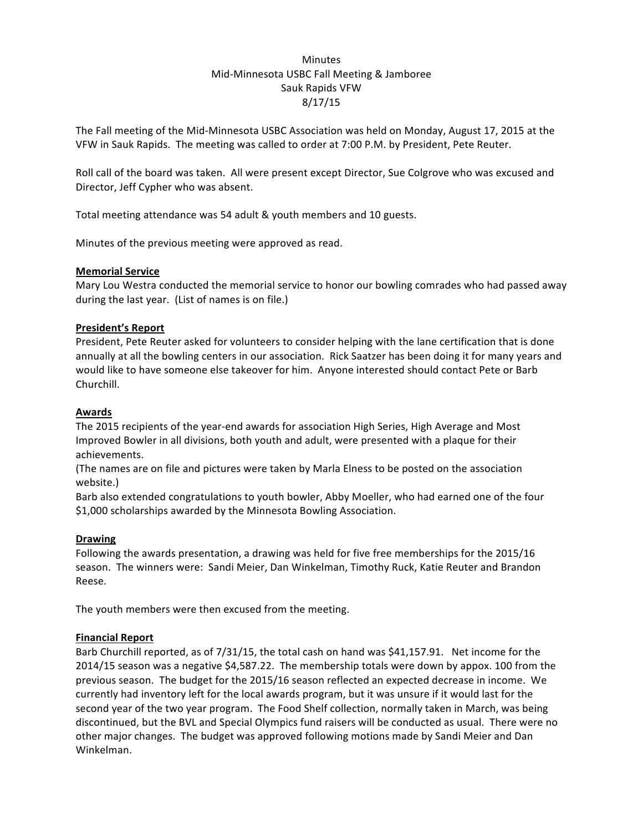# Minutes Mid-Minnesota USBC Fall Meeting & Jamboree Sauk Rapids VFW 8/17/15

The Fall meeting of the Mid-Minnesota USBC Association was held on Monday, August 17, 2015 at the VFW in Sauk Rapids. The meeting was called to order at 7:00 P.M. by President, Pete Reuter.

Roll call of the board was taken. All were present except Director, Sue Colgrove who was excused and Director, Jeff Cypher who was absent.

Total meeting attendance was 54 adult & youth members and 10 guests.

Minutes of the previous meeting were approved as read.

# **Memorial Service**

Mary Lou Westra conducted the memorial service to honor our bowling comrades who had passed away during the last year. (List of names is on file.)

# **President's Report**

President, Pete Reuter asked for volunteers to consider helping with the lane certification that is done annually at all the bowling centers in our association. Rick Saatzer has been doing it for many years and would like to have someone else takeover for him. Anyone interested should contact Pete or Barb Churchill.

### **Awards**

The 2015 recipients of the year-end awards for association High Series, High Average and Most Improved Bowler in all divisions, both youth and adult, were presented with a plaque for their achievements. 

(The names are on file and pictures were taken by Marla Elness to be posted on the association website.)

Barb also extended congratulations to youth bowler, Abby Moeller, who had earned one of the four \$1,000 scholarships awarded by the Minnesota Bowling Association.

#### **Drawing**

Following the awards presentation, a drawing was held for five free memberships for the 2015/16 season. The winners were: Sandi Meier, Dan Winkelman, Timothy Ruck, Katie Reuter and Brandon Reese. 

The youth members were then excused from the meeting.

# **Financial Report**

Barb Churchill reported, as of 7/31/15, the total cash on hand was \$41,157.91. Net income for the 2014/15 season was a negative \$4,587.22. The membership totals were down by appox. 100 from the previous season. The budget for the 2015/16 season reflected an expected decrease in income. We currently had inventory left for the local awards program, but it was unsure if it would last for the second year of the two year program. The Food Shelf collection, normally taken in March, was being discontinued, but the BVL and Special Olympics fund raisers will be conducted as usual. There were no other major changes. The budget was approved following motions made by Sandi Meier and Dan Winkelman.